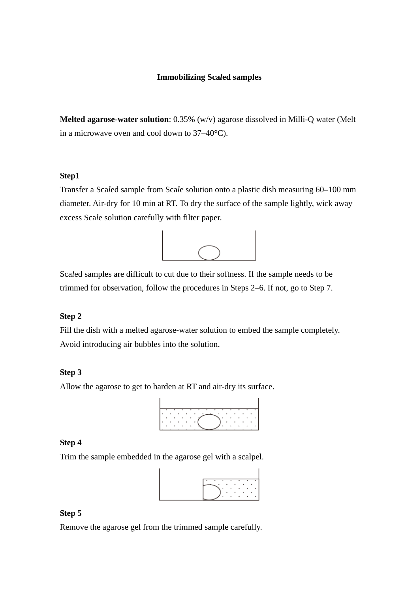# **Immobilizing Sca***l***ed samples**

**Melted agarose-water solution**: 0.35% (w/v) agarose dissolved in Milli-Q water (Melt in a microwave oven and cool down to 37–40°C).

## **Step1**

Transfer a Sca*l*ed sample from Sca*l*e solution onto a plastic dish measuring 60–100 mm diameter. Air-dry for 10 min at RT. To dry the surface of the sample lightly, wick away excess Sca*l*e solution carefully with filter paper.



Sca*l*ed samples are difficult to cut due to their softness. If the sample needs to be trimmed for observation, follow the procedures in Steps 2–6. If not, go to Step 7.

## **Step 2**

Fill the dish with a melted agarose-water solution to embed the sample completely. Avoid introducing air bubbles into the solution.

## **Step 3**

Allow the agarose to get to harden at RT and air-dry its surface.



#### **Step 4**

Trim the sample embedded in the agarose gel with a scalpel.



# **Step 5**

Remove the agarose gel from the trimmed sample carefully.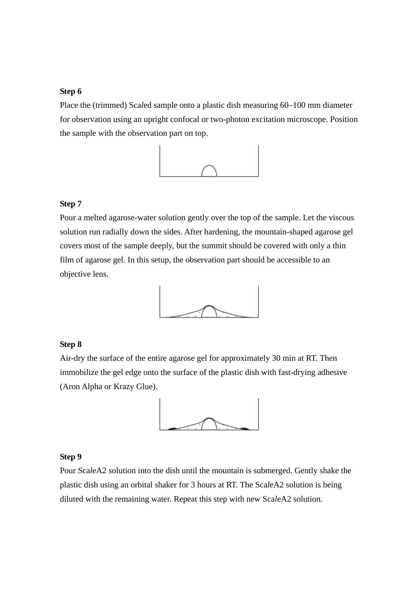#### **Step 6**

Place the (trimmed) Sca*l*ed sample onto a plastic dish measuring 60–100 mm diameter for observation using an upright confocal or two-photon excitation microscope. Position the sample with the observation part on top.



# **Step 7**

Pour a melted agarose-water solution gently over the top of the sample. Let the viscous solution run radially down the sides. After hardening, the mountain-shaped agarose gel covers most of the sample deeply, but the summit should be covered with only a thin film of agarose gel. In this setup, the observation part should be accessible to an objective lens.



## **Step 8**

Air-dry the surface of the entire agarose gel for approximately 30 min at RT. Then immobilize the gel edge onto the surface of the plastic dish with fast-drying adhesive (Aron Alpha or Krazy Glue).



#### **Step 9**

Pour Sca*l*eA2 solution into the dish until the mountain is submerged. Gently shake the plastic dish using an orbital shaker for 3 hours at RT. The Sca*l*eA2 solution is being diluted with the remaining water. Repeat this step with new Sca*l*eA2 solution.